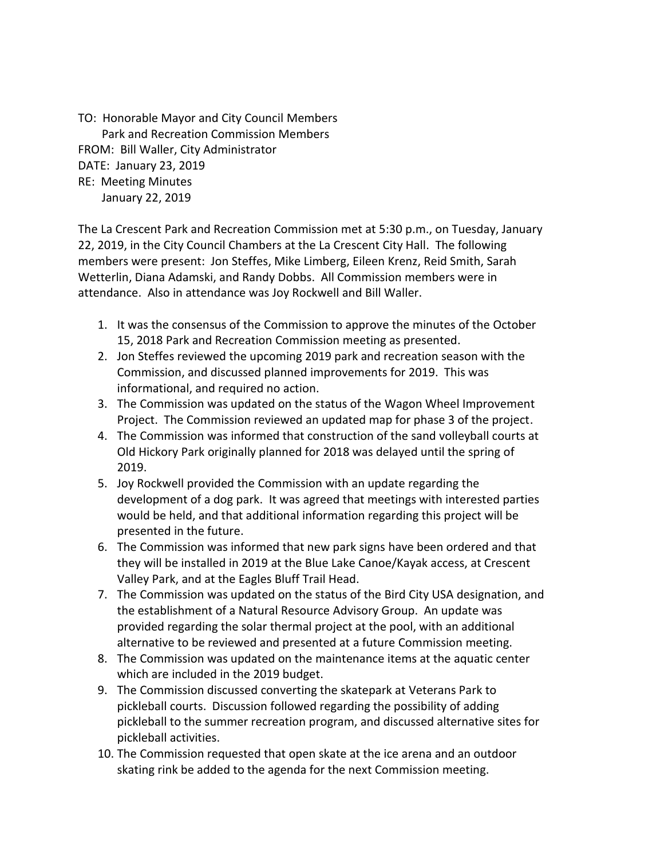TO: Honorable Mayor and City Council Members Park and Recreation Commission Members FROM: Bill Waller, City Administrator DATE: January 23, 2019 RE: Meeting Minutes January 22, 2019

The La Crescent Park and Recreation Commission met at 5:30 p.m., on Tuesday, January 22, 2019, in the City Council Chambers at the La Crescent City Hall. The following members were present: Jon Steffes, Mike Limberg, Eileen Krenz, Reid Smith, Sarah Wetterlin, Diana Adamski, and Randy Dobbs. All Commission members were in attendance. Also in attendance was Joy Rockwell and Bill Waller.

- 1. It was the consensus of the Commission to approve the minutes of the October 15, 2018 Park and Recreation Commission meeting as presented.
- 2. Jon Steffes reviewed the upcoming 2019 park and recreation season with the Commission, and discussed planned improvements for 2019. This was informational, and required no action.
- 3. The Commission was updated on the status of the Wagon Wheel Improvement Project. The Commission reviewed an updated map for phase 3 of the project.
- 4. The Commission was informed that construction of the sand volleyball courts at Old Hickory Park originally planned for 2018 was delayed until the spring of 2019.
- 5. Joy Rockwell provided the Commission with an update regarding the development of a dog park. It was agreed that meetings with interested parties would be held, and that additional information regarding this project will be presented in the future.
- 6. The Commission was informed that new park signs have been ordered and that they will be installed in 2019 at the Blue Lake Canoe/Kayak access, at Crescent Valley Park, and at the Eagles Bluff Trail Head.
- 7. The Commission was updated on the status of the Bird City USA designation, and the establishment of a Natural Resource Advisory Group. An update was provided regarding the solar thermal project at the pool, with an additional alternative to be reviewed and presented at a future Commission meeting.
- 8. The Commission was updated on the maintenance items at the aquatic center which are included in the 2019 budget.
- 9. The Commission discussed converting the skatepark at Veterans Park to pickleball courts. Discussion followed regarding the possibility of adding pickleball to the summer recreation program, and discussed alternative sites for pickleball activities.
- 10. The Commission requested that open skate at the ice arena and an outdoor skating rink be added to the agenda for the next Commission meeting.